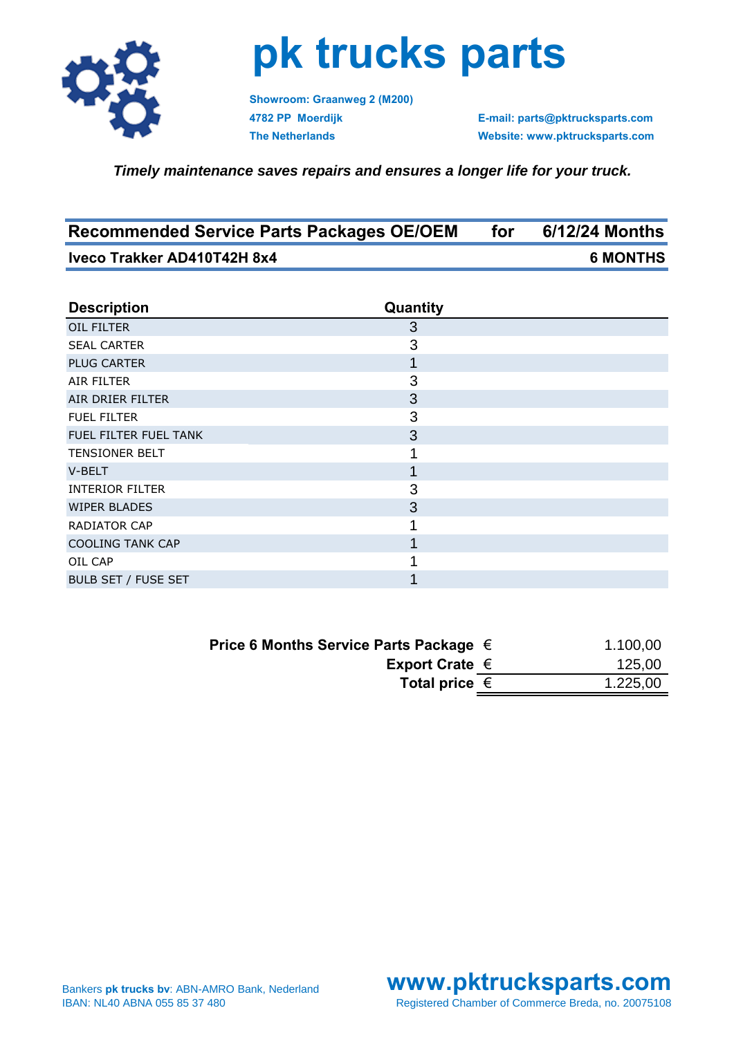

## **pk trucks parts**

**Showroom: Graanweg 2 (M200)**

**4782 PP Moerdijk E-mail: parts@pktrucksparts.com The Netherlands Website: www.pktrucksparts.com**

*Timely maintenance saves repairs and ensures a longer life for your truck.*

| <b>Recommended Service Parts Packages OE/OEM</b> | for | 6/12/24 Months  |
|--------------------------------------------------|-----|-----------------|
| Iveco Trakker AD410T42H 8x4                      |     | <b>6 MONTHS</b> |

| <b>Description</b>         | Quantity |
|----------------------------|----------|
| OIL FILTER                 | 3        |
| <b>SEAL CARTER</b>         | 3        |
| <b>PLUG CARTER</b>         |          |
| AIR FILTER                 | 3        |
| AIR DRIER FILTER           | 3        |
| <b>FUEL FILTER</b>         | 3        |
| FUEL FILTER FUEL TANK      | 3        |
| <b>TENSIONER BELT</b>      |          |
| V-BELT                     |          |
| <b>INTERIOR FILTER</b>     | 3        |
| <b>WIPER BLADES</b>        | 3        |
| RADIATOR CAP               |          |
| <b>COOLING TANK CAP</b>    |          |
| OIL CAP                    |          |
| <b>BULB SET / FUSE SET</b> |          |

| Price 6 Months Service Parts Package $\in$ | 1.100,00 |
|--------------------------------------------|----------|
| Export Crate $\in$                         | 125,00   |
| Total price $\epsilon$                     | 1.225,00 |

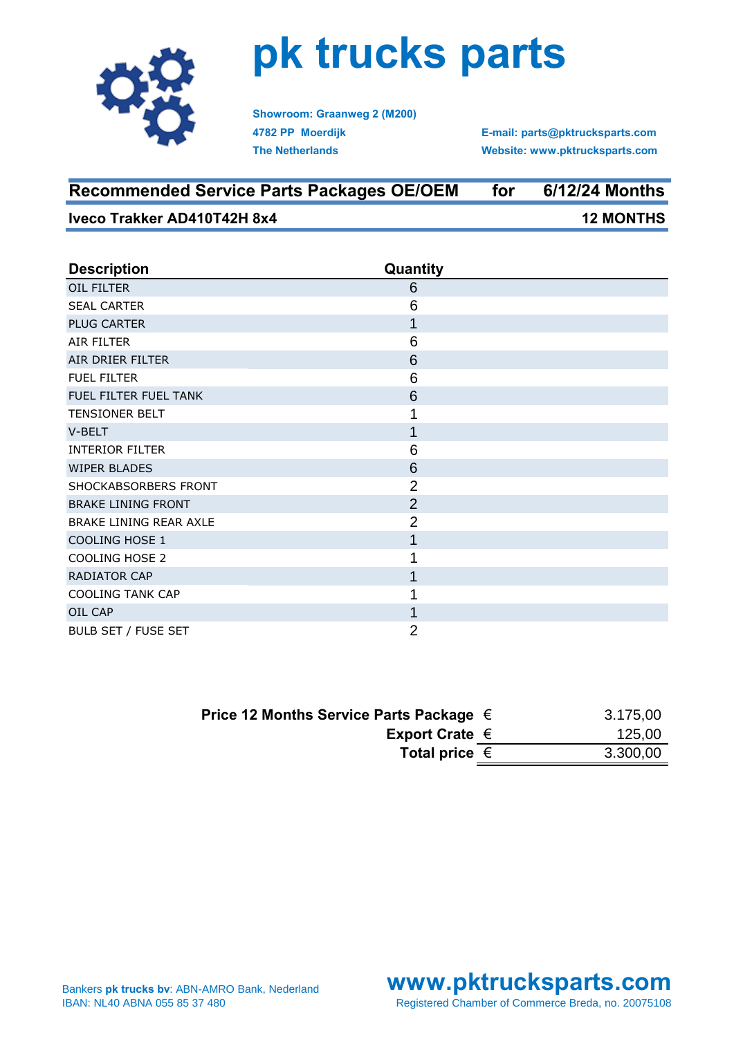

## **pk trucks parts**

**Showroom: Graanweg 2 (M200) 4782 PP Moerdijk The Netherlands**

**E-mail: parts@pktrucksparts.com Website: www.pktrucksparts.com**

| <b>Recommended Service Parts Packages OE/OEM</b> | for | 6/12/24 Months   |
|--------------------------------------------------|-----|------------------|
| Iveco Trakker AD410T42H 8x4                      |     | <b>12 MONTHS</b> |

| <b>Description</b>            | Quantity       |
|-------------------------------|----------------|
| OIL FILTER                    | 6              |
| <b>SEAL CARTER</b>            | 6              |
| <b>PLUG CARTER</b>            | 1              |
| AIR FILTER                    | 6              |
| AIR DRIER FILTER              | 6              |
| <b>FUEL FILTER</b>            | 6              |
| FUEL FILTER FUEL TANK         | 6              |
| <b>TENSIONER BELT</b>         | 1              |
| V-BELT                        | 1              |
| <b>INTERIOR FILTER</b>        | 6              |
| <b>WIPER BLADES</b>           | 6              |
| SHOCKABSORBERS FRONT          | $\overline{2}$ |
| <b>BRAKE LINING FRONT</b>     | $\overline{2}$ |
| <b>BRAKE LINING REAR AXLE</b> | $\overline{2}$ |
| <b>COOLING HOSE 1</b>         | 1              |
| <b>COOLING HOSE 2</b>         | 1              |
| RADIATOR CAP                  | 1              |
| <b>COOLING TANK CAP</b>       |                |
| OIL CAP                       | 1              |
| BULB SET / FUSE SET           | $\overline{2}$ |

| Price 12 Months Service Parts Package $\in$ | 3.175,00 |
|---------------------------------------------|----------|
| Export Crate $\in$                          | 125,00   |
| Total price $\epsilon$                      | 3.300,00 |
|                                             |          |